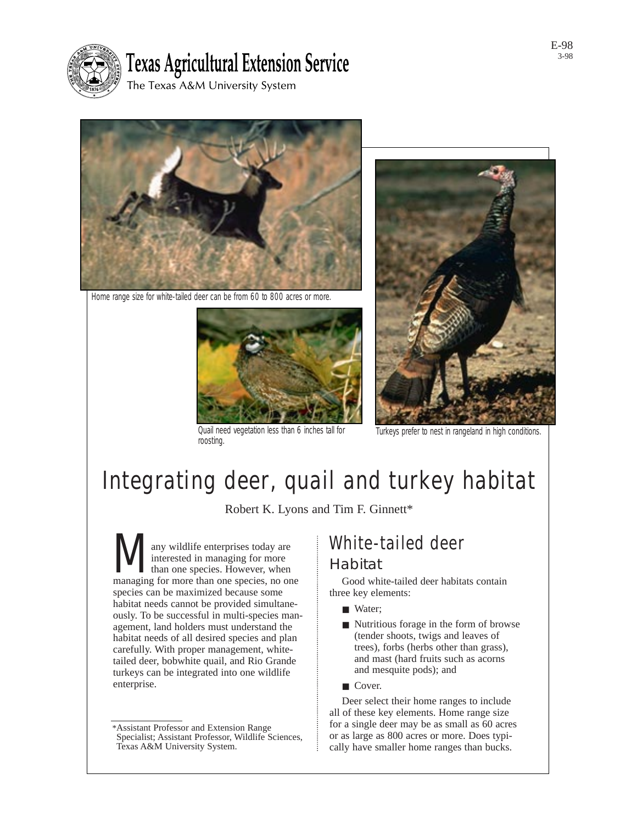

# **Texas Agricultural Extension Service**

The Texas A&M University System



Home range size for white-tailed deer can be from 60 to 800 acres or more.



Quail need vegetation less than 6 inches tall for Quail need vegetation less than 6 inches tall for Turkeys prefer to nest in rangeland in high conditions roosting.



# Integrating deer, quail and turkey habitat

Robert K. Lyons and Tim F. Ginnett\*

**Many wildlife enterprises today are** interested in managing for more than one species. However, when managing for more than one species, no one interested in managing for more than one species. However, when species can be maximized because some habitat needs cannot be provided simultaneously. To be successful in multi-species management, land holders must understand the habitat needs of all desired species and plan carefully. With proper management, whitetailed deer, bobwhite quail, and Rio Grande turkeys can be integrated into one wildlife enterprise.

# White-tailed deer

### Habitat

Good white-tailed deer habitats contain three key elements:

- Water:
- Nutritious forage in the form of browse (tender shoots, twigs and leaves of trees), forbs (herbs other than grass), and mast (hard fruits such as acorns and mesquite pods); and
- Cover.

Deer select their home ranges to include all of these key elements. Home range size for a single deer may be as small as 60 acres or as large as 800 acres or more. Does typically have smaller home ranges than bucks.

<sup>\*</sup>Assistant Professor and Extension Range Specialist; Assistant Professor, Wildlife Sciences, Texas A&M University System.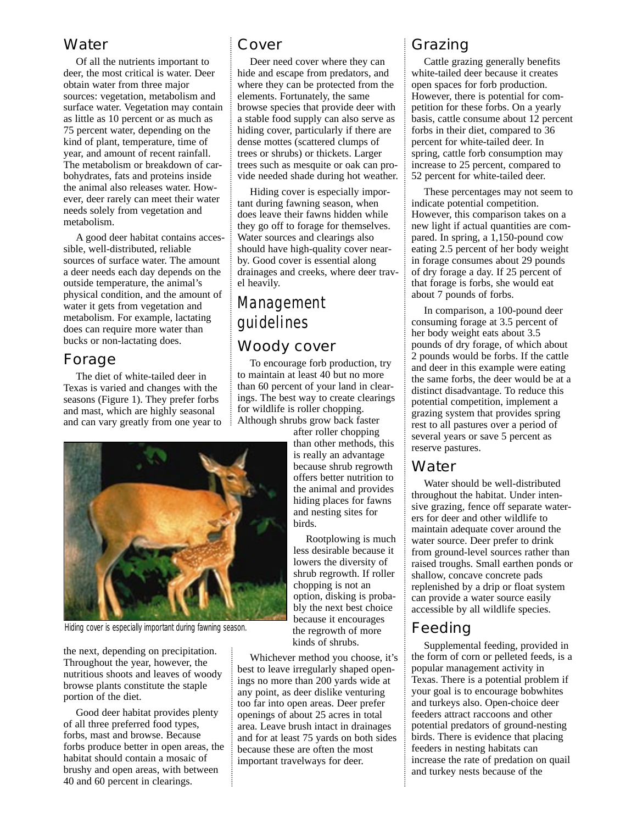### Water

Of all the nutrients important to deer, the most critical is water. Deer obtain water from three major sources: vegetation, metabolism and surface water. Vegetation may contain as little as 10 percent or as much as 75 percent water, depending on the kind of plant, temperature, time of year, and amount of recent rainfall. The metabolism or breakdown of carbohydrates, fats and proteins inside the animal also releases water. However, deer rarely can meet their water needs solely from vegetation and metabolism.

A good deer habitat contains accessible, well-distributed, reliable sources of surface water. The amount a deer needs each day depends on the outside temperature, the animal's physical condition, and the amount of water it gets from vegetation and metabolism. For example, lactating does can require more water than bucks or non-lactating does.

### Forage

The diet of white-tailed deer in Texas is varied and changes with the seasons (Figure 1). They prefer forbs and mast, which are highly seasonal and can vary greatly from one year to

### Cover

Deer need cover where they can hide and escape from predators, and where they can be protected from the elements. Fortunately, the same browse species that provide deer with a stable food supply can also serve as hiding cover, particularly if there are dense mottes (scattered clumps of trees or shrubs) or thickets. Larger trees such as mesquite or oak can provide needed shade during hot weather.

Hiding cover is especially important during fawning season, when does leave their fawns hidden while they go off to forage for themselves. Water sources and clearings also should have high-quality cover nearby. Good cover is essential along drainages and creeks, where deer travel heavily.

# Management guidelines

### Woody cover

To encourage forb production, try to maintain at least 40 but no more than 60 percent of your land in clearings. The best way to create clearings for wildlife is roller chopping. Although shrubs grow back faster



Rootplowing is much less desirable because it lowers the diversity of shrub regrowth. If roller chopping is not an option, disking is probably the next best choice because it encourages the regrowth of more kinds of shrubs.

Whichever method you choose, it's best to leave irregularly shaped openings no more than 200 yards wide at any point, as deer dislike venturing too far into open areas. Deer prefer openings of about 25 acres in total area. Leave brush intact in drainages and for at least 75 yards on both sides because these are often the most important travelways for deer.

### Grazing

Cattle grazing generally benefits white-tailed deer because it creates open spaces for forb production. However, there is potential for competition for these forbs. On a yearly basis, cattle consume about 12 percent forbs in their diet, compared to 36 percent for white-tailed deer. In spring, cattle forb consumption may increase to 25 percent, compared to 52 percent for white-tailed deer.

These percentages may not seem to indicate potential competition. However, this comparison takes on a new light if actual quantities are compared. In spring, a 1,150-pound cow eating 2.5 percent of her body weight in forage consumes about 29 pounds of dry forage a day. If 25 percent of that forage is forbs, she would eat about 7 pounds of forbs.

In comparison, a 100-pound deer consuming forage at 3.5 percent of her body weight eats about 3.5 pounds of dry forage, of which about 2 pounds would be forbs. If the cattle and deer in this example were eating the same forbs, the deer would be at a distinct disadvantage. To reduce this potential competition, implement a grazing system that provides spring rest to all pastures over a period of several years or save 5 percent as reserve pastures.

### Water

Water should be well-distributed throughout the habitat. Under intensive grazing, fence off separate waterers for deer and other wildlife to maintain adequate cover around the water source. Deer prefer to drink from ground-level sources rather than raised troughs. Small earthen ponds or shallow, concave concrete pads replenished by a drip or float system can provide a water source easily accessible by all wildlife species.

### Feeding

Supplemental feeding, provided in the form of corn or pelleted feeds, is a popular management activity in Texas. There is a potential problem if your goal is to encourage bobwhites and turkeys also. Open-choice deer feeders attract raccoons and other potential predators of ground-nesting birds. There is evidence that placing feeders in nesting habitats can increase the rate of predation on quail and turkey nests because of the



Hiding cover is especially important during fawning season.

the next, depending on precipitation. Throughout the year, however, the nutritious shoots and leaves of woody browse plants constitute the staple portion of the diet.

Good deer habitat provides plenty of all three preferred food types, forbs, mast and browse. Because forbs produce better in open areas, the habitat should contain a mosaic of brushy and open areas, with between 40 and 60 percent in clearings.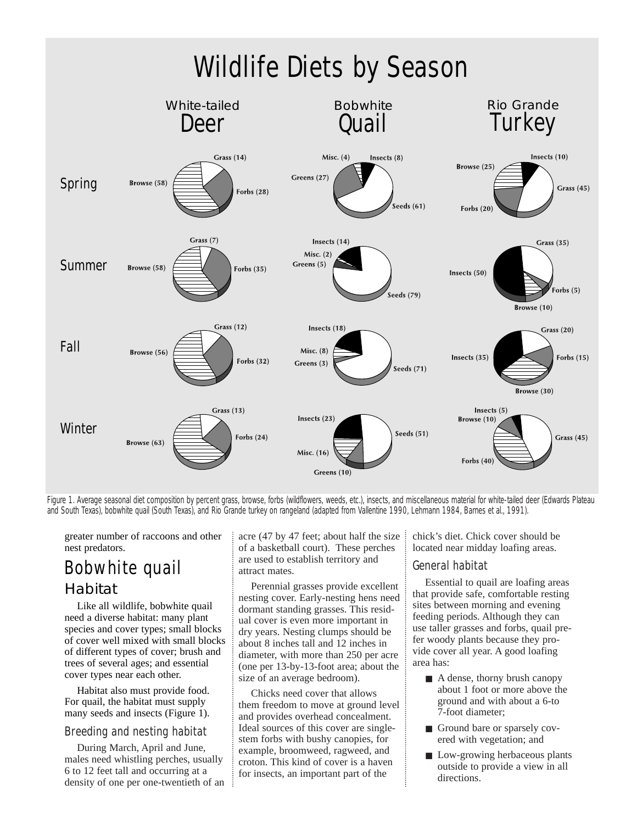

Figure 1. Average seasonal diet composition by percent grass, browse, forbs (wildflowers, weeds, etc.), insects, and miscellaneous material for white-tailed deer (Edwards Plateau and South Texas), bobwhite quail (South Texas), and Rio Grande turkey on rangeland (adapted from Vallentine 1990, Lehmann 1984, Barnes et al., 1991).

greater number of raccoons and other nest predators.

# Bobwhite quail

### Habitat

Like all wildlife, bobwhite quail need a diverse habitat: many plant species and cover types; small blocks of cover well mixed with small blocks of different types of cover; brush and trees of several ages; and essential cover types near each other.

Habitat also must provide food. For quail, the habitat must supply many seeds and insects (Figure 1).

#### *Breeding and nesting habitat*

During March, April and June, males need whistling perches, usually 6 to 12 feet tall and occurring at a density of one per one-twentieth of an acre (47 by 47 feet; about half the size of a basketball court). These perches are used to establish territory and attract mates.

Perennial grasses provide excellent nesting cover. Early-nesting hens need dormant standing grasses. This residual cover is even more important in dry years. Nesting clumps should be about 8 inches tall and 12 inches in diameter, with more than 250 per acre (one per 13-by-13-foot area; about the size of an average bedroom).

Chicks need cover that allows them freedom to move at ground level and provides overhead concealment. Ideal sources of this cover are singlestem forbs with bushy canopies, for example, broomweed, ragweed, and croton. This kind of cover is a haven for insects, an important part of the

chick's diet. Chick cover should be located near midday loafing areas.

#### *General habitat*

Essential to quail are loafing areas that provide safe, comfortable resting sites between morning and evening feeding periods. Although they can use taller grasses and forbs, quail prefer woody plants because they provide cover all year. A good loafing area has:

- A dense, thorny brush canopy about 1 foot or more above the ground and with about a 6-to 7-foot diameter;
- Ground bare or sparsely covered with vegetation; and
- Low-growing herbaceous plants outside to provide a view in all directions.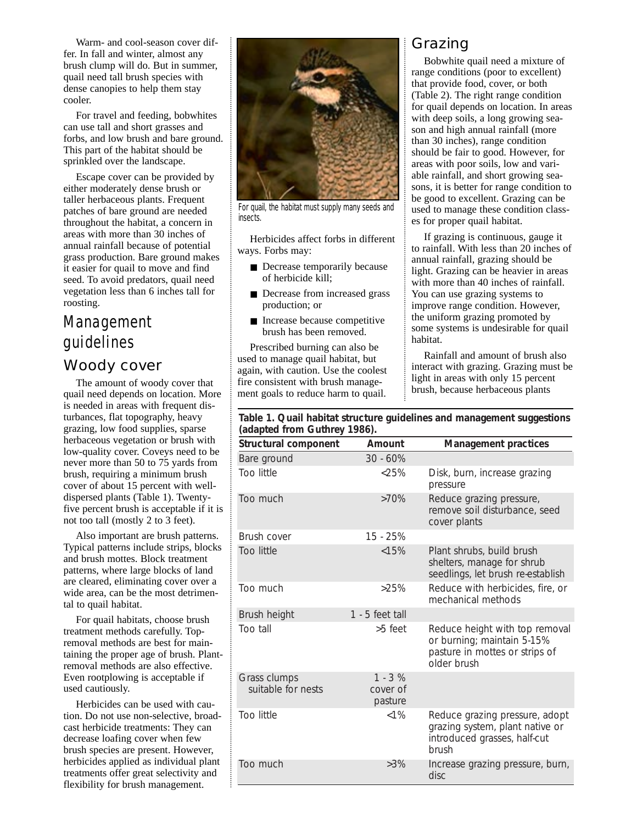Warm- and cool-season cover differ. In fall and winter, almost any brush clump will do. But in summer, quail need tall brush species with dense canopies to help them stay cooler.

For travel and feeding, bobwhites can use tall and short grasses and forbs, and low brush and bare ground. This part of the habitat should be sprinkled over the landscape.

Escape cover can be provided by either moderately dense brush or taller herbaceous plants. Frequent patches of bare ground are needed throughout the habitat, a concern in areas with more than 30 inches of annual rainfall because of potential grass production. Bare ground makes it easier for quail to move and find seed. To avoid predators, quail need vegetation less than 6 inches tall for roosting.

# Management guidelines

### Woody cover

The amount of woody cover that quail need depends on location. More is needed in areas with frequent disturbances, flat topography, heavy grazing, low food supplies, sparse herbaceous vegetation or brush with low-quality cover. Coveys need to be never more than 50 to 75 yards from brush, requiring a minimum brush cover of about 15 percent with welldispersed plants (Table 1). Twentyfive percent brush is acceptable if it is not too tall (mostly 2 to 3 feet).

Also important are brush patterns. Typical patterns include strips, blocks and brush mottes. Block treatment patterns, where large blocks of land are cleared, eliminating cover over a wide area, can be the most detrimental to quail habitat.

For quail habitats, choose brush treatment methods carefully. Topremoval methods are best for maintaining the proper age of brush. Plantremoval methods are also effective. Even rootplowing is acceptable if used cautiously.

Herbicides can be used with caution. Do not use non-selective, broadcast herbicide treatments: They can decrease loafing cover when few brush species are present. However, herbicides applied as individual plant treatments offer great selectivity and flexibility for brush management.



For quail, the habitat must supply many seeds and insects.

Herbicides affect forbs in different ways. Forbs may:

- Decrease temporarily because of herbicide kill;
- Decrease from increased grass production; or
- Increase because competitive brush has been removed.

Prescribed burning can also be used to manage quail habitat, but again, with caution. Use the coolest fire consistent with brush management goals to reduce harm to quail.

### Grazing

Bobwhite quail need a mixture of range conditions (poor to excellent) that provide food, cover, or both (Table 2). The right range condition for quail depends on location. In areas with deep soils, a long growing season and high annual rainfall (more than 30 inches), range condition should be fair to good. However, for areas with poor soils, low and variable rainfall, and short growing seasons, it is better for range condition to be good to excellent. Grazing can be used to manage these condition classes for proper quail habitat.

If grazing is continuous, gauge it to rainfall. With less than 20 inches of annual rainfall, grazing should be light. Grazing can be heavier in areas with more than 40 inches of rainfall. You can use grazing systems to improve range condition. However, the uniform grazing promoted by some systems is undesirable for quail habitat.

Rainfall and amount of brush also interact with grazing. Grazing must be light in areas with only 15 percent brush, because herbaceous plants

#### **Table 1. Quail habitat structure guidelines and management suggestions (adapted from Guthrey 1986).**

| <b>Structural component</b>        | <b>Amount</b>                    | <b>Management practices</b>                                                                                       |
|------------------------------------|----------------------------------|-------------------------------------------------------------------------------------------------------------------|
| Bare ground                        | $30 - 60\%$                      |                                                                                                                   |
| <b>Too little</b>                  | $<25\%$                          | Disk, burn, increase grazing<br>pressure                                                                          |
| Too much                           | $>70\%$                          | Reduce grazing pressure,<br>remove soil disturbance, seed<br>cover plants                                         |
| Brush cover                        | $15 - 25%$                       |                                                                                                                   |
| <b>Too little</b>                  | < 15%                            | Plant shrubs, build brush<br>shelters, manage for shrub<br>seedlings, let brush re-establish                      |
| Too much                           | $>25\%$                          | Reduce with herbicides, fire, or<br>mechanical methods                                                            |
| Brush height                       | $1 - 5$ feet tall                |                                                                                                                   |
| Too tall                           | $>5$ feet                        | Reduce height with top removal<br>or burning; maintain 5-15%<br>pasture in mottes or strips of<br>older brush     |
| Grass clumps<br>suitable for nests | $1 - 3 %$<br>cover of<br>pasture |                                                                                                                   |
| <b>Too little</b>                  | ${<}1\%$                         | Reduce grazing pressure, adopt<br>grazing system, plant native or<br>introduced grasses, half-cut<br><b>brush</b> |
| Too much                           | $>3\%$                           | Increase grazing pressure, burn,<br>disc                                                                          |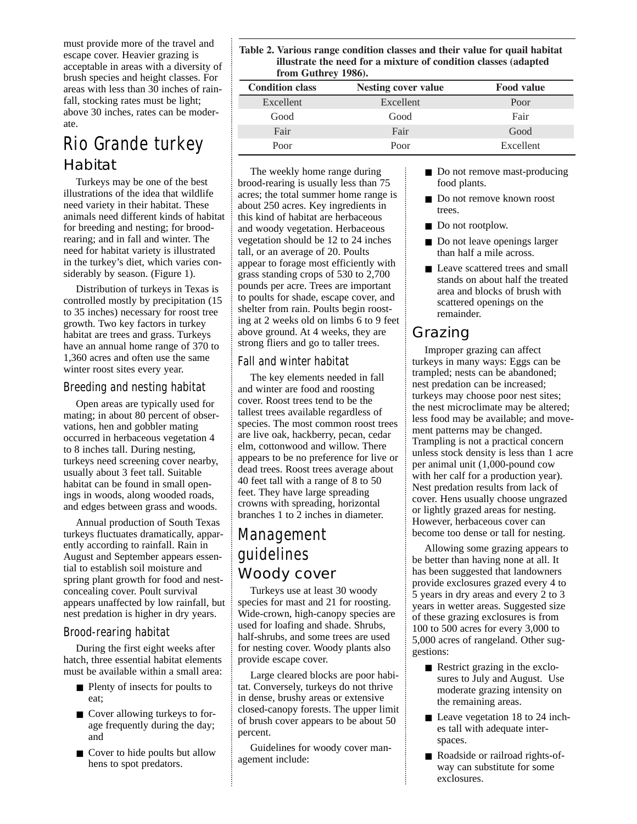must provide more of the travel and escape cover. Heavier grazing is acceptable in areas with a diversity of brush species and height classes. For areas with less than 30 inches of rainfall, stocking rates must be light; above 30 inches, rates can be moderate.

# Rio Grande turkey

### Habitat

Turkeys may be one of the best illustrations of the idea that wildlife need variety in their habitat. These animals need different kinds of habitat for breeding and nesting; for broodrearing; and in fall and winter. The need for habitat variety is illustrated in the turkey's diet, which varies considerably by season. (Figure 1).

Distribution of turkeys in Texas is controlled mostly by precipitation (15 to 35 inches) necessary for roost tree growth. Two key factors in turkey habitat are trees and grass. Turkeys have an annual home range of 370 to 1,360 acres and often use the same winter roost sites every year.

#### *Breeding and nesting habitat*

Open areas are typically used for mating; in about 80 percent of observations, hen and gobbler mating occurred in herbaceous vegetation 4 to 8 inches tall. During nesting, turkeys need screening cover nearby, usually about 3 feet tall. Suitable habitat can be found in small openings in woods, along wooded roads, and edges between grass and woods.

Annual production of South Texas turkeys fluctuates dramatically, apparently according to rainfall. Rain in August and September appears essential to establish soil moisture and spring plant growth for food and nestconcealing cover. Poult survival appears unaffected by low rainfall, but nest predation is higher in dry years.

#### *Brood-rearing habitat*

During the first eight weeks after hatch, three essential habitat elements must be available within a small area:

- Plenty of insects for poults to eat;
- Cover allowing turkeys to forage frequently during the day; and
- Cover to hide poults but allow hens to spot predators.

**Table 2. Various range condition classes and their value for quail habitat illustrate the need for a mixture of condition classes (adapted from Guthrey 1986).**

| <b>Condition class</b> | <b>Nesting cover value</b> | <b>Food value</b> |
|------------------------|----------------------------|-------------------|
| Excellent              | Excellent                  | Poor              |
| Good                   | Good                       | Fair              |
| Fair                   | Fair                       | Good              |
| Poor                   | Poor                       | Excellent         |

The weekly home range during brood-rearing is usually less than 75 acres; the total summer home range is about 250 acres. Key ingredients in this kind of habitat are herbaceous and woody vegetation. Herbaceous vegetation should be 12 to 24 inches tall, or an average of 20. Poults appear to forage most efficiently with grass standing crops of 530 to 2,700 pounds per acre. Trees are important to poults for shade, escape cover, and shelter from rain. Poults begin roosting at 2 weeks old on limbs 6 to 9 feet above ground. At 4 weeks, they are strong fliers and go to taller trees.

#### *Fall and winter habitat*

The key elements needed in fall and winter are food and roosting cover. Roost trees tend to be the tallest trees available regardless of species. The most common roost trees are live oak, hackberry, pecan, cedar elm, cottonwood and willow. There appears to be no preference for live or dead trees. Roost trees average about 40 feet tall with a range of 8 to 50 feet. They have large spreading crowns with spreading, horizontal branches 1 to 2 inches in diameter.

## Management guidelines Woody cover

Turkeys use at least 30 woody species for mast and 21 for roosting. Wide-crown, high-canopy species are used for loafing and shade. Shrubs, half-shrubs, and some trees are used for nesting cover. Woody plants also provide escape cover.

Large cleared blocks are poor habitat. Conversely, turkeys do not thrive in dense, brushy areas or extensive closed-canopy forests. The upper limit of brush cover appears to be about 50 percent.

Guidelines for woody cover management include:

- Do not remove mast-producing food plants.
- Do not remove known roost trees.
- Do not rootplow.
- Do not leave openings larger than half a mile across.
- Leave scattered trees and small stands on about half the treated area and blocks of brush with scattered openings on the remainder.

## Grazing

Improper grazing can affect turkeys in many ways: Eggs can be trampled; nests can be abandoned; nest predation can be increased; turkeys may choose poor nest sites; the nest microclimate may be altered; less food may be available; and movement patterns may be changed. Trampling is not a practical concern unless stock density is less than 1 acre per animal unit (1,000-pound cow with her calf for a production year). Nest predation results from lack of cover. Hens usually choose ungrazed or lightly grazed areas for nesting. However, herbaceous cover can become too dense or tall for nesting.

Allowing some grazing appears to be better than having none at all. It has been suggested that landowners provide exclosures grazed every 4 to 5 years in dry areas and every 2 to 3 years in wetter areas. Suggested size of these grazing exclosures is from 100 to 500 acres for every 3,000 to 5,000 acres of rangeland. Other suggestions:

- Restrict grazing in the exclosures to July and August. Use moderate grazing intensity on the remaining areas.
- Leave vegetation 18 to 24 inches tall with adequate interspaces.
- Roadside or railroad rights-ofway can substitute for some exclosures.